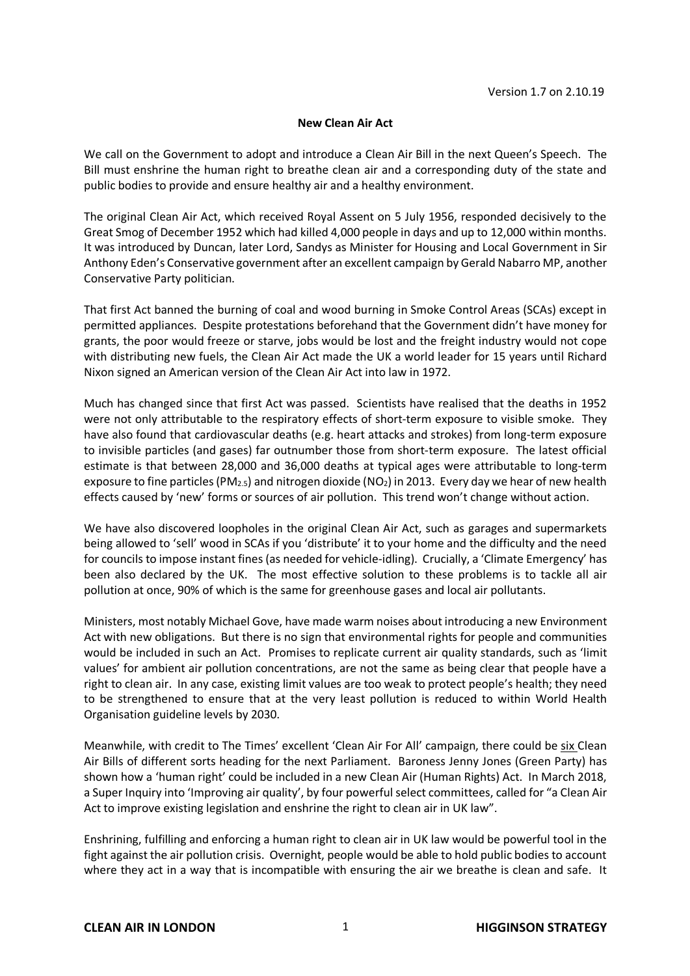## **New Clean Air Act**

We call on the Government to adopt and introduce a Clean Air Bill in the next Queen's Speech. The Bill must enshrine the human right to breathe clean air and a corresponding duty of the state and public bodies to provide and ensure healthy air and a healthy environment.

The original Clean Air Act, which received Royal Assent on 5 July 1956, responded decisively to the Great Smog of December 1952 which had killed 4,000 people in days and up to 12,000 within months. It was introduced by Duncan, later Lord, Sandys as Minister for Housing and Local Government in Sir Anthony Eden's Conservative government after an excellent campaign by Gerald Nabarro MP, another Conservative Party politician.

That first Act banned the burning of coal and wood burning in Smoke Control Areas (SCAs) except in permitted appliances. Despite protestations beforehand that the Government didn't have money for grants, the poor would freeze or starve, jobs would be lost and the freight industry would not cope with distributing new fuels, the Clean Air Act made the UK a world leader for 15 years until Richard Nixon signed an American version of the Clean Air Act into law in 1972.

Much has changed since that first Act was passed. Scientists have realised that the deaths in 1952 were not only attributable to the respiratory effects of short-term exposure to visible smoke. They have also found that cardiovascular deaths (e.g. heart attacks and strokes) from long-term exposure to invisible particles (and gases) far outnumber those from short-term exposure. The latest official estimate is that between 28,000 and 36,000 deaths at typical ages were attributable to long-term exposure to fine particles (PM<sub>2.5</sub>) and nitrogen dioxide (NO<sub>2</sub>) in 2013. Every day we hear of new health effects caused by 'new' forms or sources of air pollution. This trend won't change without action.

We have also discovered loopholes in the original Clean Air Act, such as garages and supermarkets being allowed to 'sell' wood in SCAs if you 'distribute' it to your home and the difficulty and the need for councils to impose instant fines (as needed for vehicle-idling). Crucially, a 'Climate Emergency' has been also declared by the UK. The most effective solution to these problems is to tackle all air pollution at once, 90% of which is the same for greenhouse gases and local air pollutants.

Ministers, most notably Michael Gove, have made warm noises about introducing a new Environment Act with new obligations. But there is no sign that environmental rights for people and communities would be included in such an Act. Promises to replicate current air quality standards, such as 'limit values' for ambient air pollution concentrations, are not the same as being clear that people have a right to clean air. In any case, existing limit values are too weak to protect people's health; they need to be strengthened to ensure that at the very least pollution is reduced to within World Health Organisation guideline levels by 2030.

Meanwhile, with credit to The Times' excellent 'Clean Air For All' campaign, there could be six Clean Air Bills of different sorts heading for the next Parliament. Baroness Jenny Jones (Green Party) has shown how a 'human right' could be included in a new Clean Air (Human Rights) Act. In March 2018, a Super Inquiry into 'Improving air quality', by four powerful select committees, called for "a Clean Air Act to improve existing legislation and enshrine the right to clean air in UK law".

Enshrining, fulfilling and enforcing a human right to clean air in UK law would be powerful tool in the fight against the air pollution crisis. Overnight, people would be able to hold public bodies to account where they act in a way that is incompatible with ensuring the air we breathe is clean and safe. It